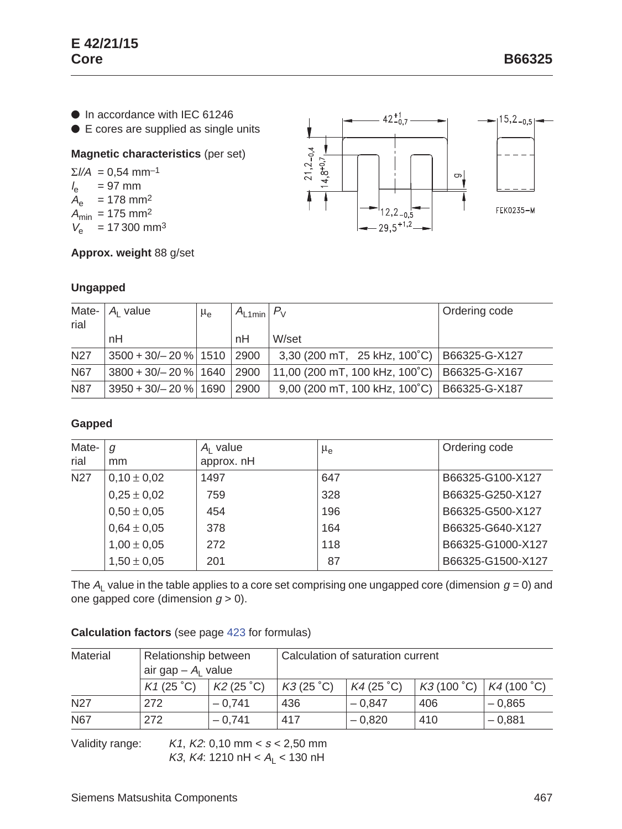● In accordance with IEC 61246

● E cores are supplied as single units

## **Magnetic characteristics** (per set)

 $\Sigma I/A = 0,54$  mm<sup>-1</sup>  $l_e$  = 97 mm  $A_e$  = 178 mm<sup>2</sup>  $A_{\text{min}} = 175 \text{ mm}^2$  $V_e$  = 17 300 mm<sup>3</sup>





# **Ungapped**

| Mate-<br>rial | A <sub>i</sub> value           | $\mu_{e}$ | $ A_{\text{L1min}} P_{\text{V}} $ |                                                | Ordering code |
|---------------|--------------------------------|-----------|-----------------------------------|------------------------------------------------|---------------|
|               | nH                             |           | nH                                | W/set                                          |               |
| <b>N27</b>    | 3500 + 30/- 20 %   1510   2900 |           |                                   | 3,30 (200 mT, 25 kHz, 100°C)   B66325-G-X127   |               |
| <b>N67</b>    | $3800 + 30/ - 20$ % 1640 2900  |           |                                   | 11,00 (200 mT, 100 kHz, 100°C)   B66325-G-X167 |               |
| <b>N87</b>    | $3950 + 30/- 20 \%$   1690     |           | 2900                              | 9,00 (200 mT, 100 kHz, 100°C)   B66325-G-X187  |               |

### **Gapped**

| Mate-<br>rial   | g<br>mm         | $A1$ value<br>approx. nH | $\mu_{\rm e}$ | Ordering code     |
|-----------------|-----------------|--------------------------|---------------|-------------------|
| N <sub>27</sub> | $0,10 \pm 0,02$ | 1497                     | 647           | B66325-G100-X127  |
|                 | $0,25 \pm 0,02$ | 759                      | 328           | B66325-G250-X127  |
|                 | $0,50 \pm 0,05$ | 454                      | 196           | B66325-G500-X127  |
|                 | $0,64 \pm 0,05$ | 378                      | 164           | B66325-G640-X127  |
|                 | $1,00 \pm 0,05$ | 272                      | 118           | B66325-G1000-X127 |
|                 | $1,50 \pm 0,05$ | 201                      | 87            | B66325-G1500-X127 |

The  $A_1$  value in the table applies to a core set comprising one ungapped core (dimension  $g = 0$ ) and one gapped core (dimension  $g > 0$ ).

### **Calculation factors** (see page 423 for formulas)

| Material        | Relationship between<br>air gap $-A1$ value |           | Calculation of saturation current |                   |            |            |
|-----------------|---------------------------------------------|-----------|-----------------------------------|-------------------|------------|------------|
|                 |                                             |           |                                   |                   |            |            |
|                 | K1 (25 °C)                                  | K2(25 °C) | K3(25 °C)                         | $K4(25^{\circ}C)$ | K3(100 °C) | K4(100 °C) |
| N <sub>27</sub> | 272                                         | $-0.741$  | 436                               | $-0.847$          | 406        | $-0.865$   |
| N67             | 272                                         | $-0.741$  | 417                               | $-0.820$          | 410        | $-0.881$   |

Validity range:  $K1, K2: 0,10 \text{ mm} < s < 2,50 \text{ mm}$ K3, K4: 1210 nH <  $A_L$  < 130 nH